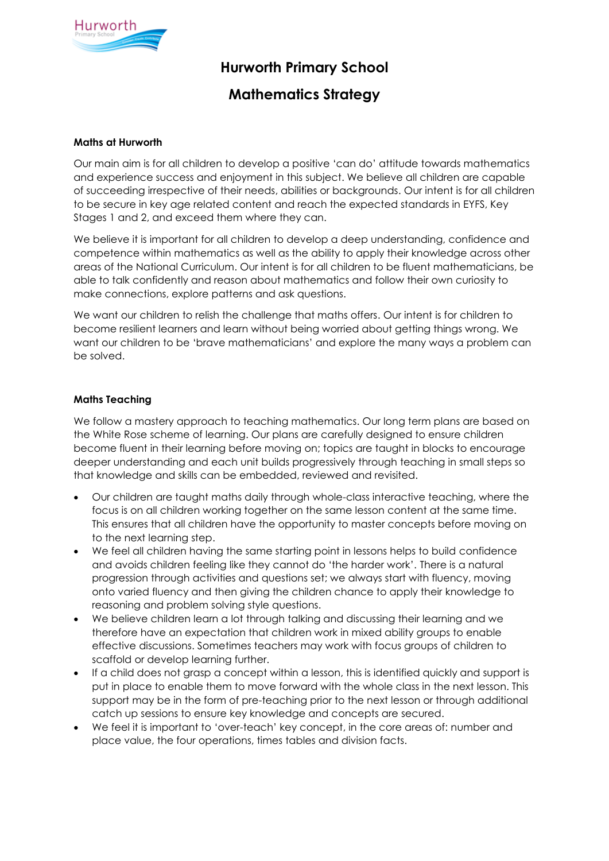

# **Hurworth Primary School**

## **Mathematics Strategy**

## **Maths at Hurworth**

Our main aim is for all children to develop a positive 'can do' attitude towards mathematics and experience success and enjoyment in this subject. We believe all children are capable of succeeding irrespective of their needs, abilities or backgrounds. Our intent is for all children to be secure in key age related content and reach the expected standards in EYFS, Key Stages 1 and 2, and exceed them where they can.

We believe it is important for all children to develop a deep understanding, confidence and competence within mathematics as well as the ability to apply their knowledge across other areas of the National Curriculum. Our intent is for all children to be fluent mathematicians, be able to talk confidently and reason about mathematics and follow their own curiosity to make connections, explore patterns and ask questions.

We want our children to relish the challenge that maths offers. Our intent is for children to become resilient learners and learn without being worried about getting things wrong. We want our children to be 'brave mathematicians' and explore the many ways a problem can be solved.

## **Maths Teaching**

We follow a mastery approach to teaching mathematics. Our long term plans are based on the White Rose scheme of learning. Our plans are carefully designed to ensure children become fluent in their learning before moving on; topics are taught in blocks to encourage deeper understanding and each unit builds progressively through teaching in small steps so that knowledge and skills can be embedded, reviewed and revisited.

- Our children are taught maths daily through whole-class interactive teaching, where the focus is on all children working together on the same lesson content at the same time. This ensures that all children have the opportunity to master concepts before moving on to the next learning step.
- We feel all children having the same starting point in lessons helps to build confidence and avoids children feeling like they cannot do 'the harder work'. There is a natural progression through activities and questions set; we always start with fluency, moving onto varied fluency and then giving the children chance to apply their knowledge to reasoning and problem solving style questions.
- We believe children learn a lot through talking and discussing their learning and we therefore have an expectation that children work in mixed ability groups to enable effective discussions. Sometimes teachers may work with focus groups of children to scaffold or develop learning further.
- If a child does not grasp a concept within a lesson, this is identified quickly and support is put in place to enable them to move forward with the whole class in the next lesson. This support may be in the form of pre-teaching prior to the next lesson or through additional catch up sessions to ensure key knowledge and concepts are secured.
- We feel it is important to 'over-teach' key concept, in the core areas of: number and place value, the four operations, times tables and division facts.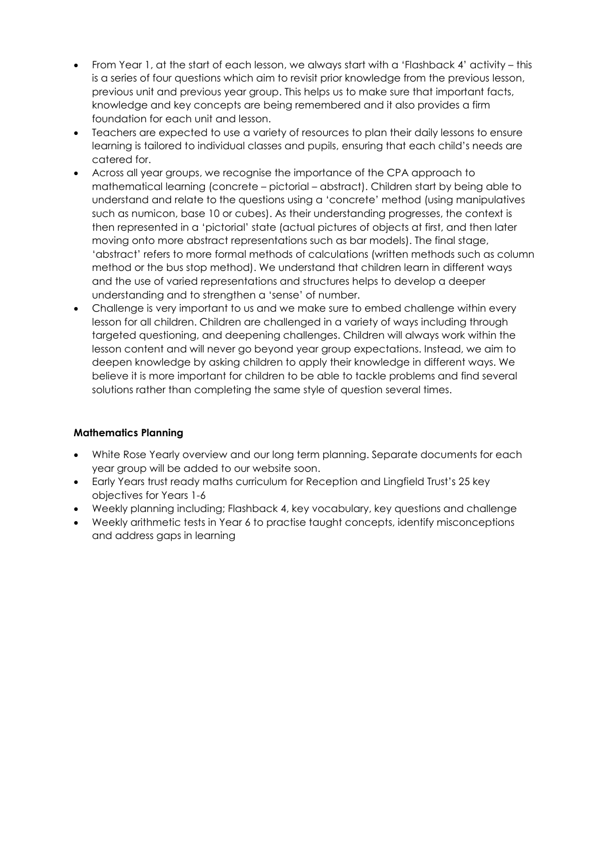- From Year 1, at the start of each lesson, we always start with a 'Flashback 4' activity this is a series of four questions which aim to revisit prior knowledge from the previous lesson, previous unit and previous year group. This helps us to make sure that important facts, knowledge and key concepts are being remembered and it also provides a firm foundation for each unit and lesson.
- Teachers are expected to use a variety of resources to plan their daily lessons to ensure learning is tailored to individual classes and pupils, ensuring that each child's needs are catered for.
- Across all year groups, we recognise the importance of the CPA approach to mathematical learning (concrete – pictorial – abstract). Children start by being able to understand and relate to the questions using a 'concrete' method (using manipulatives such as numicon, base 10 or cubes). As their understanding progresses, the context is then represented in a 'pictorial' state (actual pictures of objects at first, and then later moving onto more abstract representations such as bar models). The final stage, 'abstract' refers to more formal methods of calculations (written methods such as column method or the bus stop method). We understand that children learn in different ways and the use of varied representations and structures helps to develop a deeper understanding and to strengthen a 'sense' of number.
- Challenge is very important to us and we make sure to embed challenge within every lesson for all children. Children are challenged in a variety of ways including through targeted questioning, and deepening challenges. Children will always work within the lesson content and will never go beyond year group expectations. Instead, we aim to deepen knowledge by asking children to apply their knowledge in different ways. We believe it is more important for children to be able to tackle problems and find several solutions rather than completing the same style of question several times.

## **Mathematics Planning**

- White Rose Yearly overview and our long term planning. Separate documents for each year group will be added to our website soon.
- Early Years trust ready maths curriculum for Reception and Lingfield Trust's 25 key objectives for Years 1-6
- Weekly planning including; Flashback 4, key vocabulary, key questions and challenge
- Weekly arithmetic tests in Year 6 to practise taught concepts, identify misconceptions and address gaps in learning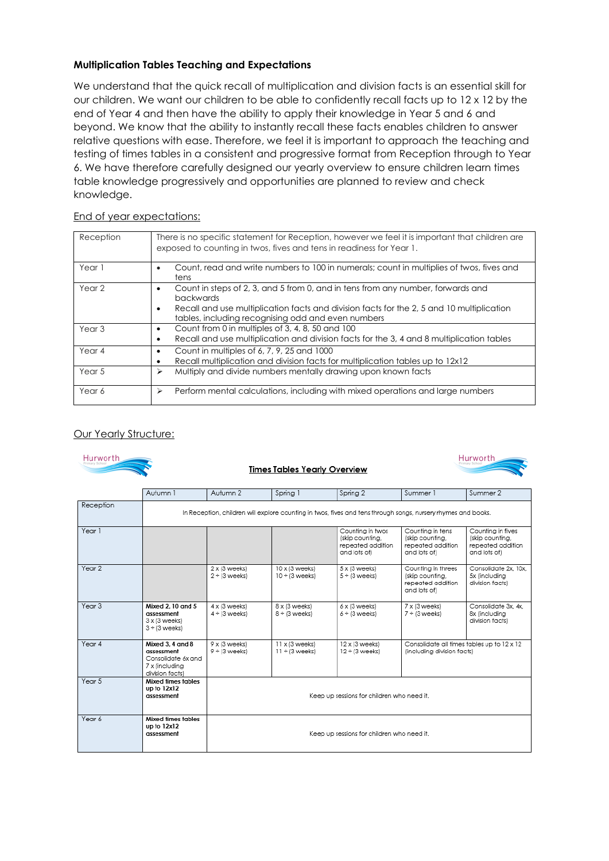## **Multiplication Tables Teaching and Expectations**

We understand that the quick recall of multiplication and division facts is an essential skill for our children. We want our children to be able to confidently recall facts up to 12 x 12 by the end of Year 4 and then have the ability to apply their knowledge in Year 5 and 6 and beyond. We know that the ability to instantly recall these facts enables children to answer relative questions with ease. Therefore, we feel it is important to approach the teaching and testing of times tables in a consistent and progressive format from Reception through to Year 6. We have therefore carefully designed our yearly overview to ensure children learn times table knowledge progressively and opportunities are planned to review and check knowledge.

## End of year expectations:

| Reception         | There is no specific statement for Reception, however we feel it is important that children are<br>exposed to counting in twos, fives and tens in readiness for Year 1.                                                                         |
|-------------------|-------------------------------------------------------------------------------------------------------------------------------------------------------------------------------------------------------------------------------------------------|
| Year 1            | Count, read and write numbers to 100 in numerals; count in multiplies of twos, fives and<br>tens                                                                                                                                                |
| Year <sub>2</sub> | Count in steps of 2, 3, and 5 from 0, and in tens from any number, forwards and<br>backwards<br>Recall and use multiplication facts and division facts for the 2, 5 and 10 multiplication<br>tables, including recognising odd and even numbers |
| Year <sub>3</sub> | Count from 0 in multiples of 3, 4, 8, 50 and 100<br>Recall and use multiplication and division facts for the 3, 4 and 8 multiplication tables                                                                                                   |
| Year 4            | Count in multiples of 6, 7, 9, 25 and 1000<br>Recall multiplication and division facts for multiplication tables up to 12x12                                                                                                                    |
| Year 5            | Multiply and divide numbers mentally drawing upon known facts<br>⋗                                                                                                                                                                              |
| Year 6            | Perform mental calculations, including with mixed operations and large numbers<br>➤                                                                                                                                                             |

## Our Yearly Structure:

| Hurworth.<br>Hurworth<br><u><b>Times Tables Yearly Overview</b></u> |                                                                                           |                                                                                                               |                                              |                                                                          |                                                                            |                                                                           |
|---------------------------------------------------------------------|-------------------------------------------------------------------------------------------|---------------------------------------------------------------------------------------------------------------|----------------------------------------------|--------------------------------------------------------------------------|----------------------------------------------------------------------------|---------------------------------------------------------------------------|
|                                                                     | Autumn 1                                                                                  | Autumn 2                                                                                                      | Spring 1                                     | Spring 2                                                                 | Summer <sub>1</sub>                                                        | Summer 2                                                                  |
| Reception                                                           |                                                                                           | In Reception, children will explore counting in twos, fives and tens through songs, nursery rhymes and books. |                                              |                                                                          |                                                                            |                                                                           |
| Year 1                                                              |                                                                                           |                                                                                                               |                                              | Counting in twos<br>(skip counting,<br>repeated addition<br>and lots of) | Counting in tens<br>(skip counting,<br>repeated addition<br>and lots of)   | Counting in fives<br>(skip counting,<br>repeated addition<br>and lots of) |
| Year 2                                                              |                                                                                           | $2 \times (3$ weeks)<br>2 ÷ (3 weeks)                                                                         | 10 x (3 weeks)<br>$10 \div (3$ weeks)        | 5 x (3 weeks)<br>5 ÷ (3 weeks)                                           | Counting in threes<br>(skip counting,<br>repeated addition<br>and lots of) | Consolidate 2x. 10x.<br>5x (including<br>division facts)                  |
| Year 3                                                              | Mixed 2, 10 and 5<br>assessment<br>3 x (3 weeks)<br>3 ÷ (3 weeks)                         | $4 \times (3$ weeks)<br>$4 \div (3$ weeks)                                                                    | 8 x (3 weeks)<br>$8 \div (3$ weeks)          | $6x(3$ weeks)<br>$6 \div 13$ weeks)                                      | 7 x (3 weeks)<br>$7 ÷$ (3 weeks)                                           | Consolidate 3x, 4x,<br>8x (including<br>division facts)                   |
| Year 4                                                              | Mixed 3, 4 and 8<br>assessment<br>Consolidate 6x and<br>7 x (including<br>division facts) | 9 x (3 weeks)<br>9 ÷ (3 weeks)                                                                                | $11 \times (3$ weeks)<br>$11 \div (3$ weeks) | 12 x (3 weeks)<br>$12 \div (3$ weeks)                                    | (including division facts)                                                 | Consolidate all times tables up to 12 x 12                                |
| Year 5                                                              | Mixed times tables<br>up to 12x12<br>assessment                                           | Keep up sessions for children who need it.                                                                    |                                              |                                                                          |                                                                            |                                                                           |
| Year 6                                                              | Mixed times tables<br>up to 12x12<br>assessment                                           | Keep up sessions for children who need it.                                                                    |                                              |                                                                          |                                                                            |                                                                           |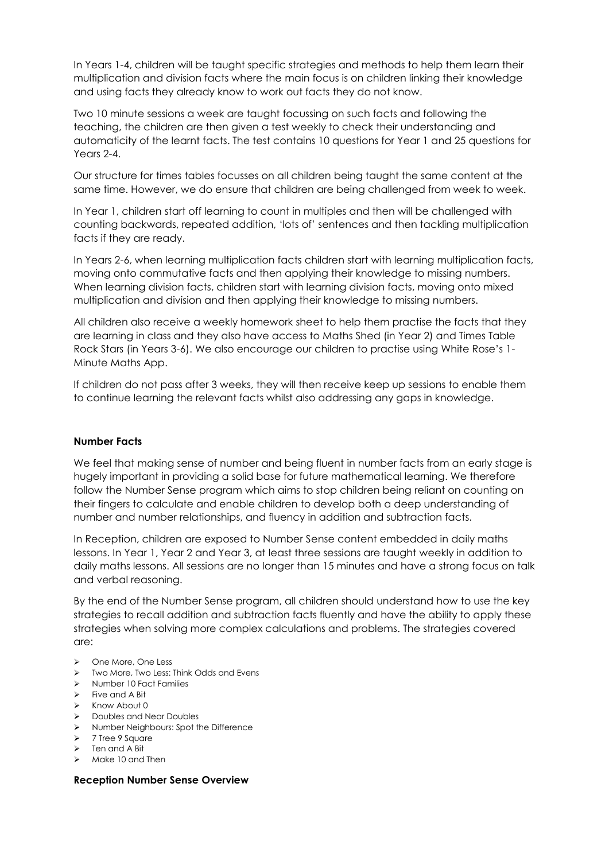In Years 1-4, children will be taught specific strategies and methods to help them learn their multiplication and division facts where the main focus is on children linking their knowledge and using facts they already know to work out facts they do not know.

Two 10 minute sessions a week are taught focussing on such facts and following the teaching, the children are then given a test weekly to check their understanding and automaticity of the learnt facts. The test contains 10 questions for Year 1 and 25 questions for Years 2-4.

Our structure for times tables focusses on all children being taught the same content at the same time. However, we do ensure that children are being challenged from week to week.

In Year 1, children start off learning to count in multiples and then will be challenged with counting backwards, repeated addition, 'lots of' sentences and then tackling multiplication facts if they are ready.

In Years 2-6, when learning multiplication facts children start with learning multiplication facts, moving onto commutative facts and then applying their knowledge to missing numbers. When learning division facts, children start with learning division facts, moving onto mixed multiplication and division and then applying their knowledge to missing numbers.

All children also receive a weekly homework sheet to help them practise the facts that they are learning in class and they also have access to Maths Shed (in Year 2) and Times Table Rock Stars (in Years 3-6). We also encourage our children to practise using White Rose's 1- Minute Maths App.

If children do not pass after 3 weeks, they will then receive keep up sessions to enable them to continue learning the relevant facts whilst also addressing any gaps in knowledge.

## **Number Facts**

We feel that making sense of number and being fluent in number facts from an early stage is hugely important in providing a solid base for future mathematical learning. We therefore follow the Number Sense program which aims to stop children being reliant on counting on their fingers to calculate and enable children to develop both a deep understanding of number and number relationships, and fluency in addition and subtraction facts.

In Reception, children are exposed to Number Sense content embedded in daily maths lessons. In Year 1, Year 2 and Year 3, at least three sessions are taught weekly in addition to daily maths lessons. All sessions are no longer than 15 minutes and have a strong focus on talk and verbal reasoning.

By the end of the Number Sense program, all children should understand how to use the key strategies to recall addition and subtraction facts fluently and have the ability to apply these strategies when solving more complex calculations and problems. The strategies covered are:

- ▶ One More, One Less
- > Two More, Two Less: Think Odds and Evens
- > Number 10 Fact Families
- $\triangleright$  Five and A Bit
- $\triangleright$  Know About 0
- Doubles and Near Doubles
- Number Neighbours: Spot the Difference
- $\triangleright$  7 Tree 9 Square
- $\triangleright$  Ten and A Bit
- $\triangleright$  Make 10 and Then

#### **Reception Number Sense Overview**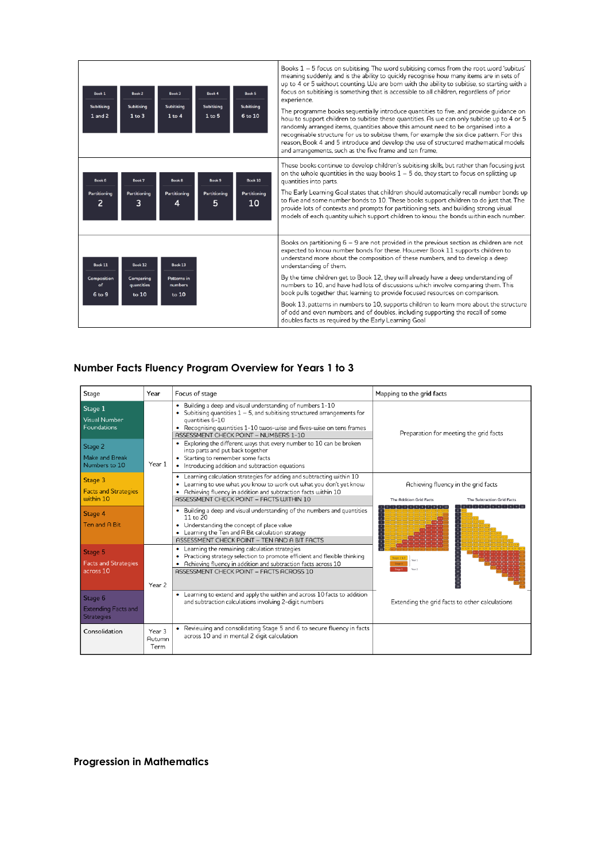| Book 1<br>Subitising<br>$1$ and $2$ | Book 2<br>Subitising<br>$1$ to $3$ | Book 3<br><b>Subitising</b><br>$1$ to $4$ | Book 4<br>Subitising<br>1 to 5 | Book 5<br>Subitising<br>6 to 10 | Books $1 - 5$ focus on subitising. The word subitising comes from the root word 'subitus'<br>meaning suddenly, and is the ability to quickly recognise how many items are in sets of<br>up to 4 or 5 without counting. We are born with the ability to subitise, so starting with a<br>focus on subitising is something that is accessible to all children, regardless of prior<br>experience.<br>The programme books sequentially introduce quantities to five, and provide quidance on<br>how to support children to subitise these quantities. As we can only subitise up to 4 or 5<br>randomly arranged items, quantities above this amount need to be organised into a<br>recognisable structure for us to subitise them, for example the six dice pattern. For this<br>reason, Book 4 and 5 introduce and develop the use of structured mathematical models<br>and arrangements, such as the five frame and ten frame, |
|-------------------------------------|------------------------------------|-------------------------------------------|--------------------------------|---------------------------------|------------------------------------------------------------------------------------------------------------------------------------------------------------------------------------------------------------------------------------------------------------------------------------------------------------------------------------------------------------------------------------------------------------------------------------------------------------------------------------------------------------------------------------------------------------------------------------------------------------------------------------------------------------------------------------------------------------------------------------------------------------------------------------------------------------------------------------------------------------------------------------------------------------------------------|
| Book 6<br>Partitioning<br>2         | Book 7<br>Partitioning<br>3        | Book 8<br>Partitioning<br>4               | Book 9<br>Partitioning<br>5    | Book 10<br>Partitioning<br>10   | These books continue to develop children's subitising skills, but rather than focusing just<br>on the whole quantities in the way books $1 - 5$ do, they start to focus on splitting up<br>quantities into parts.<br>The Early Learning Goal states that children should automatically recall number bonds up<br>to five and some number bonds to 10. These books support children to do just that The<br>provide lots of contexts and prompts for partitioning sets, and building strong visual<br>models of each quantity which support children to know the bonds within each number.                                                                                                                                                                                                                                                                                                                                     |
| Book 11                             | Book 12                            | Book 13                                   |                                |                                 | Books on partitioning $6 - 9$ are not provided in the previous section as children are not<br>expected to know number bonds for these. However Book 11 supports children to<br>understand more about the composition of these numbers, and to develop a deep<br>understanding of them.                                                                                                                                                                                                                                                                                                                                                                                                                                                                                                                                                                                                                                       |
| Composition<br>of<br>6 to 9         | Comparing<br>quantities<br>to 10   | Patterns in<br>numbers<br>to 10           |                                |                                 | By the time children get to Book 12, they will already have a deep understanding of<br>numbers to 10, and have had lots of discussions which involve comparing them. This<br>book pulls together that learning to provide focused resources on comparison.                                                                                                                                                                                                                                                                                                                                                                                                                                                                                                                                                                                                                                                                   |
|                                     |                                    |                                           |                                |                                 | Book 13, patterns in numbers to 10, supports children to learn more about the structure<br>of odd and even numbers, and of doubles, including supporting the recall of some<br>doubles facts as required by the Early Learning Goal                                                                                                                                                                                                                                                                                                                                                                                                                                                                                                                                                                                                                                                                                          |

## **Number Facts Fluency Program Overview for Years 1 to 3**

| Stage                                                                                 | Year                     | Focus of stage                                                                                                                                                                                                                                                                                                                                                                                                                                                                 | Mapping to the grid facts                                                                                  |  |  |
|---------------------------------------------------------------------------------------|--------------------------|--------------------------------------------------------------------------------------------------------------------------------------------------------------------------------------------------------------------------------------------------------------------------------------------------------------------------------------------------------------------------------------------------------------------------------------------------------------------------------|------------------------------------------------------------------------------------------------------------|--|--|
| Stage 1<br>Visual Number<br>Foundations<br>Stage 2<br>Make and Break<br>Numbers to 10 | Year 1                   | Building a deep and visual understanding of numbers 1-10<br>Subitising quantities $1 - 5$ , and subitising structured arrangements for<br>quantities 6-10<br>• Recognising quantities 1-10 twos-wise and fives-wise on tens frames<br>ASSESSMENT CHECK POINT - NUMBERS 1-10<br>Exploring the different ways that every number to 10 can be broken<br>into parts and put back together<br>• Starting to remember some facts<br>• Introducing addition and subtraction equations | Preparation for meeting the grid facts                                                                     |  |  |
| Stage 3<br><b>Facts and Strategies</b><br>within 10                                   |                          | • Learning calculation strategies for adding and subtracting within 10<br>Learning to use what you know to work out what you don't yet know<br>Achieving fluency in addition and subtraction facts within 10<br>ASSESSMENT CHECK POINT - FACTS WITHIN 10                                                                                                                                                                                                                       | Achieving fluency in the grid facts<br><b>The Addition Grid Facts</b><br><b>The Subtraction Grid Facts</b> |  |  |
| Stage 4<br>Ten and A Bit                                                              |                          | Building a deep and visual understanding of the numbers and quantities<br>11 to 20<br>• Understanding the concept of place value<br>• Learning the Ten and A Bit calculation strategy<br>ASSESSMENT CHECK POINT - TEN AND A BIT FACTS                                                                                                                                                                                                                                          | $0$ 1 2 3 4 5 6 7 8 9 1<br>$0$ $1$ $2$ $3$ $4$ $5$ $6$                                                     |  |  |
| Stage 5<br><b>Facts and Strategies</b><br>across 10                                   | Year <sub>2</sub>        | Learning the remaining calculation strategies<br>Practicing strategy selection to promote efficient and flexible thinking<br>• Achieving fluency in addition and subtraction facts across 10<br>ASSESSMENT CHECK POINT - FACTS ACROSS 10                                                                                                                                                                                                                                       | Mage <sup>1</sup>                                                                                          |  |  |
| Stage 6<br><b>Extending Facts and</b><br>Strategies                                   |                          | Learning to extend and apply the within and across 10 facts to addition<br>۰<br>and subtraction calculations involving 2-digit numbers                                                                                                                                                                                                                                                                                                                                         | Extending the grid facts to other calculations                                                             |  |  |
| Consolidation                                                                         | Year 3<br>Autumn<br>Term | • Reviewing and consolidating Stage 5 and 6 to secure fluency in facts<br>across 10 and in mental 2 digit calculation                                                                                                                                                                                                                                                                                                                                                          |                                                                                                            |  |  |

**Progression in Mathematics**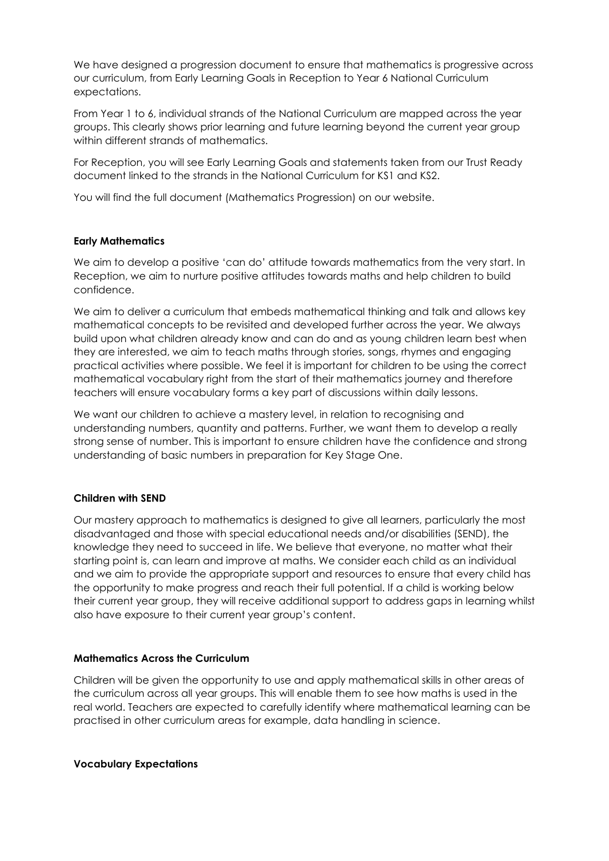We have designed a progression document to ensure that mathematics is progressive across our curriculum, from Early Learning Goals in Reception to Year 6 National Curriculum expectations.

From Year 1 to 6, individual strands of the National Curriculum are mapped across the year groups. This clearly shows prior learning and future learning beyond the current year group within different strands of mathematics.

For Reception, you will see Early Learning Goals and statements taken from our Trust Ready document linked to the strands in the National Curriculum for KS1 and KS2.

You will find the full document (Mathematics Progression) on our website.

## **Early Mathematics**

We aim to develop a positive 'can do' attitude towards mathematics from the very start. In Reception, we aim to nurture positive attitudes towards maths and help children to build confidence.

We aim to deliver a curriculum that embeds mathematical thinking and talk and allows key mathematical concepts to be revisited and developed further across the year. We always build upon what children already know and can do and as young children learn best when they are interested, we aim to teach maths through stories, songs, rhymes and engaging practical activities where possible. We feel it is important for children to be using the correct mathematical vocabulary right from the start of their mathematics journey and therefore teachers will ensure vocabulary forms a key part of discussions within daily lessons.

We want our children to achieve a mastery level, in relation to recognising and understanding numbers, quantity and patterns. Further, we want them to develop a really strong sense of number. This is important to ensure children have the confidence and strong understanding of basic numbers in preparation for Key Stage One.

## **Children with SEND**

Our mastery approach to mathematics is designed to give all learners, particularly the most disadvantaged and those with special educational needs and/or disabilities (SEND), the knowledge they need to succeed in life. We believe that everyone, no matter what their starting point is, can learn and improve at maths. We consider each child as an individual and we aim to provide the appropriate support and resources to ensure that every child has the opportunity to make progress and reach their full potential. If a child is working below their current year group, they will receive additional support to address gaps in learning whilst also have exposure to their current year group's content.

## **Mathematics Across the Curriculum**

Children will be given the opportunity to use and apply mathematical skills in other areas of the curriculum across all year groups. This will enable them to see how maths is used in the real world. Teachers are expected to carefully identify where mathematical learning can be practised in other curriculum areas for example, data handling in science.

## **Vocabulary Expectations**